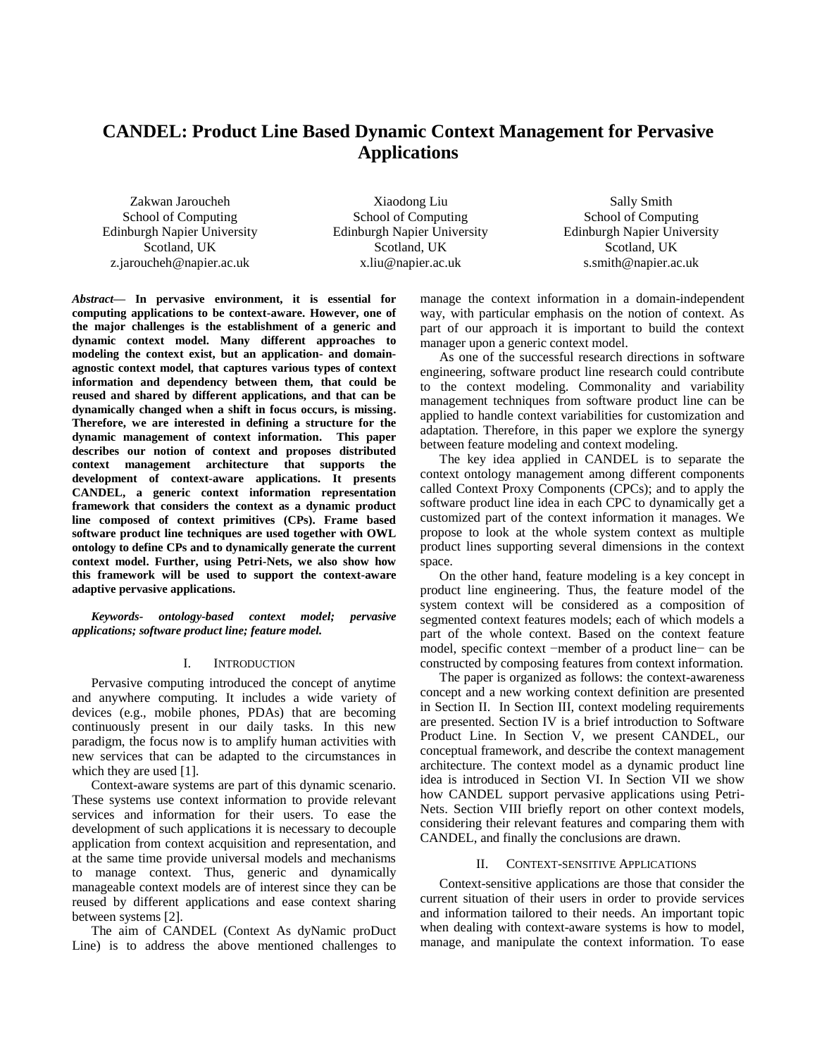# **CANDEL: Product Line Based Dynamic Context Management for Pervasive Applications**

Zakwan Jaroucheh School of Computing Edinburgh Napier University Scotland, UK z.jaroucheh@napier.ac.uk

Xiaodong Liu School of Computing Edinburgh Napier University Scotland, UK x.liu@napier.ac.uk

Sally Smith School of Computing Edinburgh Napier University Scotland, UK s.smith@napier.ac.uk

*Abstract***— In pervasive environment, it is essential for computing applications to be context-aware. However, one of the major challenges is the establishment of a generic and dynamic context model. Many different approaches to modeling the context exist, but an application- and domainagnostic context model, that captures various types of context information and dependency between them, that could be reused and shared by different applications, and that can be dynamically changed when a shift in focus occurs, is missing. Therefore, we are interested in defining a structure for the dynamic management of context information. This paper describes our notion of context and proposes distributed context management architecture that supports the development of context-aware applications. It presents CANDEL, a generic context information representation framework that considers the context as a dynamic product line composed of context primitives (CPs). Frame based software product line techniques are used together with OWL ontology to define CPs and to dynamically generate the current context model. Further, using Petri-Nets, we also show how this framework will be used to support the context-aware adaptive pervasive applications.** 

*Keywords- ontology-based context model; pervasive applications; software product line; feature model.*

## I. INTRODUCTION

Pervasive computing introduced the concept of anytime and anywhere computing. It includes a wide variety of devices (e.g., mobile phones, PDAs) that are becoming continuously present in our daily tasks. In this new paradigm, the focus now is to amplify human activities with new services that can be adapted to the circumstances in which they are used [1].

Context-aware systems are part of this dynamic scenario. These systems use context information to provide relevant services and information for their users. To ease the development of such applications it is necessary to decouple application from context acquisition and representation, and at the same time provide universal models and mechanisms to manage context. Thus, generic and dynamically manageable context models are of interest since they can be reused by different applications and ease context sharing between systems [2].

The aim of CANDEL (Context As dyNamic proDuct Line) is to address the above mentioned challenges to

manage the context information in a domain-independent way, with particular emphasis on the notion of context. As part of our approach it is important to build the context manager upon a generic context model.

As one of the successful research directions in software engineering, software product line research could contribute to the context modeling. Commonality and variability management techniques from software product line can be applied to handle context variabilities for customization and adaptation. Therefore, in this paper we explore the synergy between feature modeling and context modeling.

The key idea applied in CANDEL is to separate the context ontology management among different components called Context Proxy Components (CPCs); and to apply the software product line idea in each CPC to dynamically get a customized part of the context information it manages. We propose to look at the whole system context as multiple product lines supporting several dimensions in the context space.

On the other hand, feature modeling is a key concept in product line engineering. Thus, the feature model of the system context will be considered as a composition of segmented context features models; each of which models a part of the whole context. Based on the context feature model, specific context −member of a product line− can be constructed by composing features from context information.

The paper is organized as follows: the context-awareness concept and a new working context definition are presented in Section II. In Section III, context modeling requirements are presented. Section IV is a brief introduction to Software Product Line. In Section V, we present CANDEL, our conceptual framework, and describe the context management architecture. The context model as a dynamic product line idea is introduced in Section VI. In Section VII we show how CANDEL support pervasive applications using Petri-Nets. Section VIII briefly report on other context models, considering their relevant features and comparing them with CANDEL, and finally the conclusions are drawn.

## II. CONTEXT-SENSITIVE APPLICATIONS

Context-sensitive applications are those that consider the current situation of their users in order to provide services and information tailored to their needs. An important topic when dealing with context-aware systems is how to model, manage, and manipulate the context information. To ease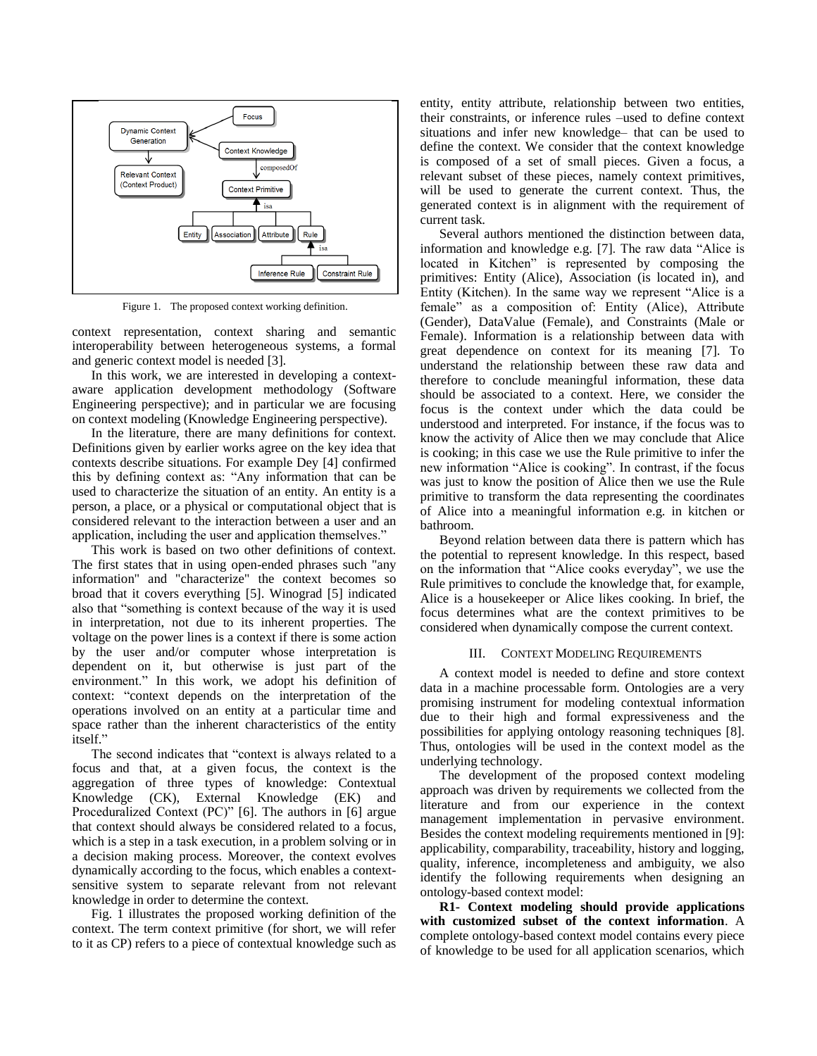

Figure 1. The proposed context working definition.

context representation, context sharing and semantic interoperability between heterogeneous systems, a formal and generic context model is needed [3].

In this work, we are interested in developing a contextaware application development methodology (Software Engineering perspective); and in particular we are focusing on context modeling (Knowledge Engineering perspective).

In the literature, there are many definitions for context. Definitions given by earlier works agree on the key idea that contexts describe situations. For example Dey [4] confirmed this by defining context as: "Any information that can be used to characterize the situation of an entity. An entity is a person, a place, or a physical or computational object that is considered relevant to the interaction between a user and an application, including the user and application themselves."

This work is based on two other definitions of context. The first states that in using open-ended phrases such "any information" and "characterize" the context becomes so broad that it covers everything [5]. Winograd [5] indicated also that "something is context because of the way it is used in interpretation, not due to its inherent properties. The voltage on the power lines is a context if there is some action by the user and/or computer whose interpretation is dependent on it, but otherwise is just part of the environment." In this work, we adopt his definition of context: "context depends on the interpretation of the operations involved on an entity at a particular time and space rather than the inherent characteristics of the entity itself.'

The second indicates that "context is always related to a focus and that, at a given focus, the context is the aggregation of three types of knowledge: Contextual Knowledge (CK), External Knowledge (EK) and Proceduralized Context (PC)" [6]. The authors in [6] argue that context should always be considered related to a focus, which is a step in a task execution, in a problem solving or in a decision making process. Moreover, the context evolves dynamically according to the focus, which enables a contextsensitive system to separate relevant from not relevant knowledge in order to determine the context.

Fig. 1 illustrates the proposed working definition of the context. The term context primitive (for short, we will refer to it as CP) refers to a piece of contextual knowledge such as entity, entity attribute, relationship between two entities, their constraints, or inference rules –used to define context situations and infer new knowledge– that can be used to define the context. We consider that the context knowledge is composed of a set of small pieces. Given a focus, a relevant subset of these pieces, namely context primitives, will be used to generate the current context. Thus, the generated context is in alignment with the requirement of current task.

Several authors mentioned the distinction between data, information and knowledge e.g. [7]. The raw data "Alice is located in Kitchen" is represented by composing the primitives: Entity (Alice), Association (is located in), and Entity (Kitchen). In the same way we represent "Alice is a female" as a composition of: Entity (Alice), Attribute (Gender), DataValue (Female), and Constraints (Male or Female). Information is a relationship between data with great dependence on context for its meaning [7]. To understand the relationship between these raw data and therefore to conclude meaningful information, these data should be associated to a context. Here, we consider the focus is the context under which the data could be understood and interpreted. For instance, if the focus was to know the activity of Alice then we may conclude that Alice is cooking; in this case we use the Rule primitive to infer the new information "Alice is cooking". In contrast, if the focus was just to know the position of Alice then we use the Rule primitive to transform the data representing the coordinates of Alice into a meaningful information e.g. in kitchen or bathroom.

Beyond relation between data there is pattern which has the potential to represent knowledge. In this respect, based on the information that "Alice cooks everyday", we use the Rule primitives to conclude the knowledge that, for example, Alice is a housekeeper or Alice likes cooking. In brief, the focus determines what are the context primitives to be considered when dynamically compose the current context.

## III. CONTEXT MODELING REQUIREMENTS

A context model is needed to define and store context data in a machine processable form. Ontologies are a very promising instrument for modeling contextual information due to their high and formal expressiveness and the possibilities for applying ontology reasoning techniques [8]. Thus, ontologies will be used in the context model as the underlying technology.

The development of the proposed context modeling approach was driven by requirements we collected from the literature and from our experience in the context management implementation in pervasive environment. Besides the context modeling requirements mentioned in [9]: applicability, comparability, traceability, history and logging, quality, inference, incompleteness and ambiguity, we also identify the following requirements when designing an ontology-based context model:

**R1- Context modeling should provide applications with customized subset of the context information**. A complete ontology-based context model contains every piece of knowledge to be used for all application scenarios, which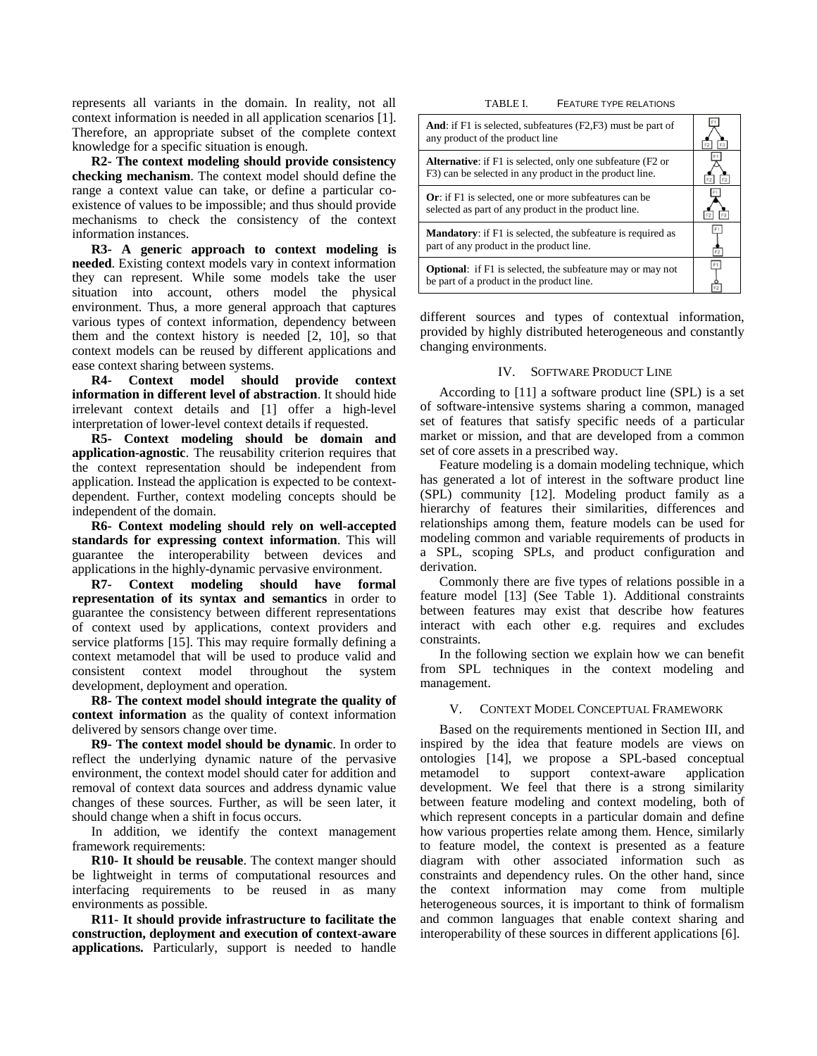represents all variants in the domain. In reality, not all context information is needed in all application scenarios [1]. Therefore, an appropriate subset of the complete context knowledge for a specific situation is enough.

**R2- The context modeling should provide consistency checking mechanism**. The context model should define the range a context value can take, or define a particular coexistence of values to be impossible; and thus should provide mechanisms to check the consistency of the context information instances.

**R3- A generic approach to context modeling is needed**. Existing context models vary in context information they can represent. While some models take the user situation into account, others model the physical environment. Thus, a more general approach that captures various types of context information, dependency between them and the context history is needed [2, 10], so that context models can be reused by different applications and ease context sharing between systems.

**R4- Context model should provide context information in different level of abstraction**. It should hide irrelevant context details and [1] offer a high-level interpretation of lower-level context details if requested.

**R5- Context modeling should be domain and application-agnostic**. The reusability criterion requires that the context representation should be independent from application. Instead the application is expected to be contextdependent. Further, context modeling concepts should be independent of the domain.

**R6- Context modeling should rely on well-accepted standards for expressing context information**. This will guarantee the interoperability between devices and applications in the highly-dynamic pervasive environment.

**R7- Context modeling should have formal representation of its syntax and semantics** in order to guarantee the consistency between different representations of context used by applications, context providers and service platforms [15]. This may require formally defining a context metamodel that will be used to produce valid and consistent context model throughout the system development, deployment and operation.

**R8- The context model should integrate the quality of context information** as the quality of context information delivered by sensors change over time.

**R9- The context model should be dynamic**. In order to reflect the underlying dynamic nature of the pervasive environment, the context model should cater for addition and removal of context data sources and address dynamic value changes of these sources. Further, as will be seen later, it should change when a shift in focus occurs.

In addition, we identify the context management framework requirements:

**R10- It should be reusable**. The context manger should be lightweight in terms of computational resources and interfacing requirements to be reused in as many environments as possible.

**R11- It should provide infrastructure to facilitate the construction, deployment and execution of context-aware applications.** Particularly, support is needed to handle

| TABLE L | <b>FEATURE TYPE RELATIONS</b> |
|---------|-------------------------------|
|---------|-------------------------------|

| <b>And:</b> if F1 is selected, subfeatures (F2, F3) must be part of<br>any product of the product line                       |    |
|------------------------------------------------------------------------------------------------------------------------------|----|
| <b>Alternative:</b> if F1 is selected, only one subfeature (F2 or<br>F3) can be selected in any product in the product line. |    |
| <b>Or</b> : if F1 is selected, one or more subfeatures can be<br>selected as part of any product in the product line.        |    |
| <b>Mandatory:</b> if F1 is selected, the subfeature is required as<br>part of any product in the product line.               |    |
| <b>Optional:</b> if F1 is selected, the subfeature may or may not<br>be part of a product in the product line.               | F1 |

different sources and types of contextual information, provided by highly distributed heterogeneous and constantly changing environments.

## IV. SOFTWARE PRODUCT LINE

According to [11] a software product line (SPL) is a set of software-intensive systems sharing a common, managed set of features that satisfy specific needs of a particular market or mission, and that are developed from a common set of core assets in a prescribed way.

Feature modeling is a domain modeling technique, which has generated a lot of interest in the software product line (SPL) community [12]. Modeling product family as a hierarchy of features their similarities, differences and relationships among them, feature models can be used for modeling common and variable requirements of products in a SPL, scoping SPLs, and product configuration and derivation.

Commonly there are five types of relations possible in a feature model [13] (See Table 1). Additional constraints between features may exist that describe how features interact with each other e.g. requires and excludes constraints.

In the following section we explain how we can benefit from SPL techniques in the context modeling and management.

## V. CONTEXT MODEL CONCEPTUAL FRAMEWORK

Based on the requirements mentioned in Section III, and inspired by the idea that feature models are views on ontologies [14], we propose a SPL-based conceptual support context-aware application development. We feel that there is a strong similarity between feature modeling and context modeling, both of which represent concepts in a particular domain and define how various properties relate among them. Hence, similarly to feature model, the context is presented as a feature diagram with other associated information such as constraints and dependency rules. On the other hand, since the context information may come from multiple heterogeneous sources, it is important to think of formalism and common languages that enable context sharing and interoperability of these sources in different applications [6].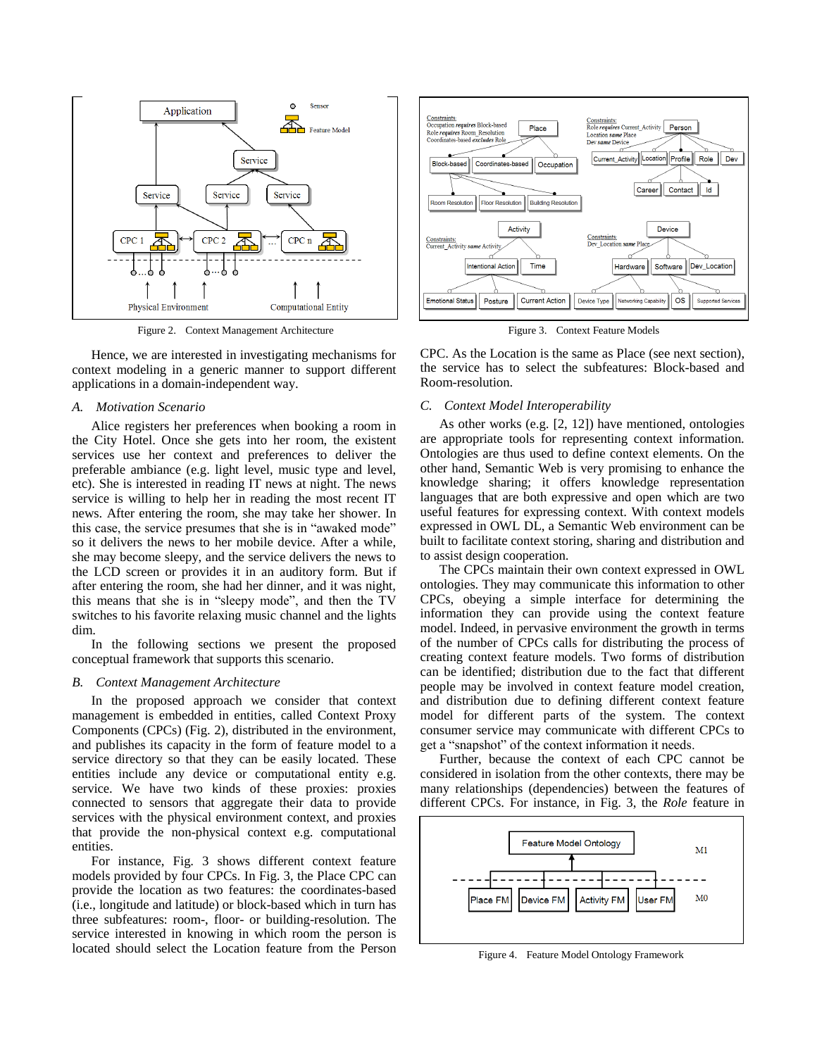

Figure 2. Context Management Architecture Figure 3. Context Feature Models

Hence, we are interested in investigating mechanisms for context modeling in a generic manner to support different applications in a domain-independent way.

#### *A. Motivation Scenario*

Alice registers her preferences when booking a room in the City Hotel. Once she gets into her room, the existent services use her context and preferences to deliver the preferable ambiance (e.g. light level, music type and level, etc). She is interested in reading IT news at night. The news service is willing to help her in reading the most recent IT news. After entering the room, she may take her shower. In this case, the service presumes that she is in "awaked mode" so it delivers the news to her mobile device. After a while, she may become sleepy, and the service delivers the news to the LCD screen or provides it in an auditory form. But if after entering the room, she had her dinner, and it was night, this means that she is in "sleepy mode", and then the TV switches to his favorite relaxing music channel and the lights dim.

In the following sections we present the proposed conceptual framework that supports this scenario.

#### *B. Context Management Architecture*

In the proposed approach we consider that context management is embedded in entities, called Context Proxy Components (CPCs) (Fig. 2), distributed in the environment, and publishes its capacity in the form of feature model to a service directory so that they can be easily located. These entities include any device or computational entity e.g. service. We have two kinds of these proxies: proxies connected to sensors that aggregate their data to provide services with the physical environment context, and proxies that provide the non-physical context e.g. computational entities.

For instance, Fig. 3 shows different context feature models provided by four CPCs. In Fig. 3, the Place CPC can provide the location as two features: the coordinates-based (i.e., longitude and latitude) or block-based which in turn has three subfeatures: room-, floor- or building-resolution. The service interested in knowing in which room the person is located should select the Location feature from the Person



CPC. As the Location is the same as Place (see next section), the service has to select the subfeatures: Block-based and Room-resolution.

## *C. Context Model Interoperability*

As other works (e.g. [2, 12]) have mentioned, ontologies are appropriate tools for representing context information. Ontologies are thus used to define context elements. On the other hand, Semantic Web is very promising to enhance the knowledge sharing; it offers knowledge representation languages that are both expressive and open which are two useful features for expressing context. With context models expressed in OWL DL, a Semantic Web environment can be built to facilitate context storing, sharing and distribution and to assist design cooperation.

The CPCs maintain their own context expressed in OWL ontologies. They may communicate this information to other CPCs, obeying a simple interface for determining the information they can provide using the context feature model. Indeed, in pervasive environment the growth in terms of the number of CPCs calls for distributing the process of creating context feature models. Two forms of distribution can be identified; distribution due to the fact that different people may be involved in context feature model creation, and distribution due to defining different context feature model for different parts of the system. The context consumer service may communicate with different CPCs to get a "snapshot" of the context information it needs.

Further, because the context of each CPC cannot be considered in isolation from the other contexts, there may be many relationships (dependencies) between the features of different CPCs. For instance, in Fig. 3, the *Role* feature in



Figure 4. Feature Model Ontology Framework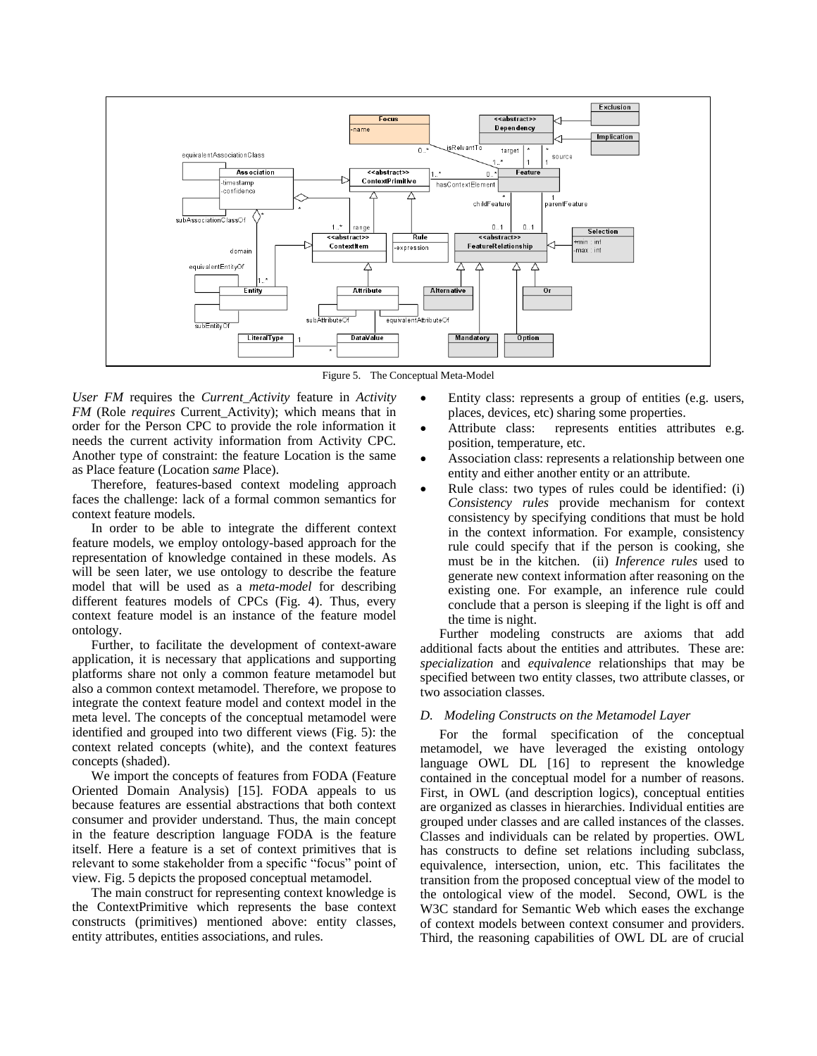

Figure 5. The Conceptual Meta-Model

*User FM* requires the *Current\_Activity* feature in *Activity FM* (Role *requires* Current\_Activity); which means that in order for the Person CPC to provide the role information it needs the current activity information from Activity CPC. Another type of constraint: the feature Location is the same as Place feature (Location *same* Place).

Therefore, features-based context modeling approach faces the challenge: lack of a formal common semantics for context feature models.

In order to be able to integrate the different context feature models, we employ ontology-based approach for the representation of knowledge contained in these models. As will be seen later, we use ontology to describe the feature model that will be used as a *meta-model* for describing different features models of CPCs (Fig. 4). Thus, every context feature model is an instance of the feature model ontology.

Further, to facilitate the development of context-aware application, it is necessary that applications and supporting platforms share not only a common feature metamodel but also a common context metamodel. Therefore, we propose to integrate the context feature model and context model in the meta level. The concepts of the conceptual metamodel were identified and grouped into two different views (Fig. 5): the context related concepts (white), and the context features concepts (shaded).

We import the concepts of features from FODA (Feature Oriented Domain Analysis) [15]. FODA appeals to us because features are essential abstractions that both context consumer and provider understand. Thus, the main concept in the feature description language FODA is the feature itself. Here a feature is a set of context primitives that is relevant to some stakeholder from a specific "focus" point of view. Fig. 5 depicts the proposed conceptual metamodel.

The main construct for representing context knowledge is the ContextPrimitive which represents the base context constructs (primitives) mentioned above: entity classes, entity attributes, entities associations, and rules.

- Entity class: represents a group of entities (e.g. users, places, devices, etc) sharing some properties.
- Attribute class: represents entities attributes e.g. position, temperature, etc.
- Association class: represents a relationship between one entity and either another entity or an attribute.
- Rule class: two types of rules could be identified: (i) *Consistency rules* provide mechanism for context consistency by specifying conditions that must be hold in the context information. For example, consistency rule could specify that if the person is cooking, she must be in the kitchen. (ii) *Inference rules* used to generate new context information after reasoning on the existing one. For example, an inference rule could conclude that a person is sleeping if the light is off and the time is night.

Further modeling constructs are axioms that add additional facts about the entities and attributes. These are: *specialization* and *equivalence* relationships that may be specified between two entity classes, two attribute classes, or two association classes.

## *D. Modeling Constructs on the Metamodel Layer*

For the formal specification of the conceptual metamodel, we have leveraged the existing ontology language OWL DL [16] to represent the knowledge contained in the conceptual model for a number of reasons. First, in OWL (and description logics), conceptual entities are organized as classes in hierarchies. Individual entities are grouped under classes and are called instances of the classes. Classes and individuals can be related by properties. OWL has constructs to define set relations including subclass, equivalence, intersection, union, etc. This facilitates the transition from the proposed conceptual view of the model to the ontological view of the model. Second, OWL is the W3C standard for Semantic Web which eases the exchange of context models between context consumer and providers. Third, the reasoning capabilities of OWL DL are of crucial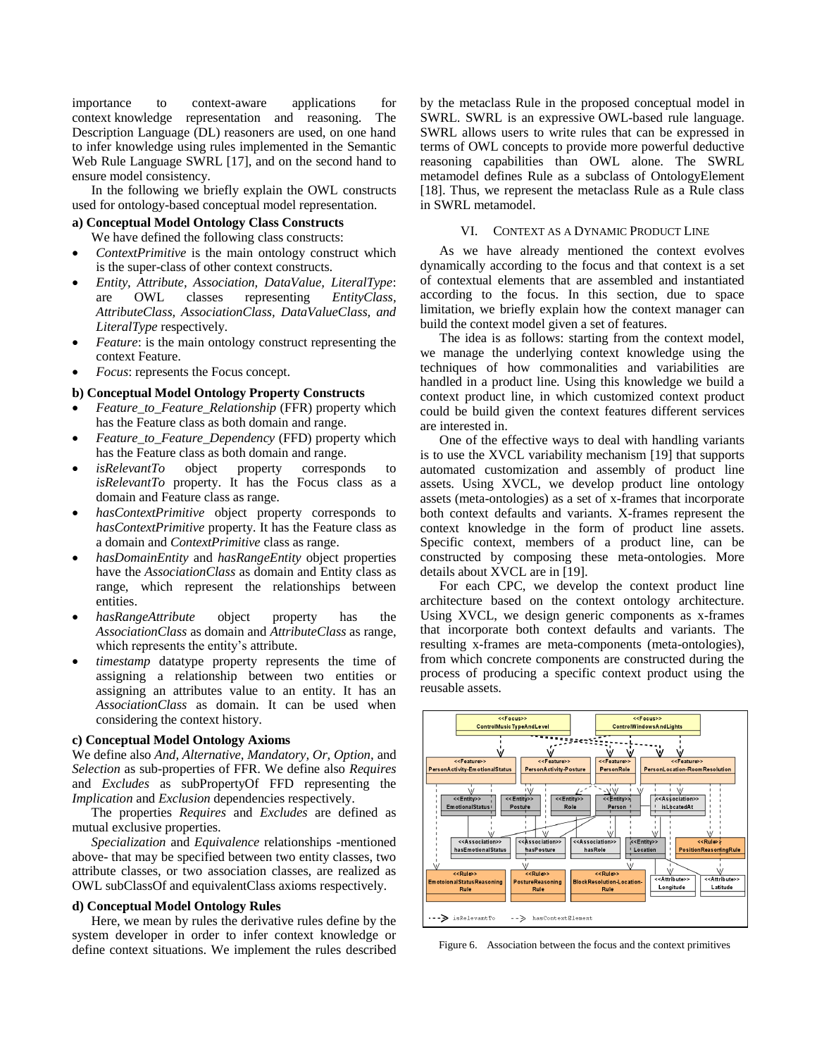importance to context-aware applications for context knowledge representation and reasoning. The Description Language (DL) reasoners are used, on one hand to infer knowledge using rules implemented in the Semantic Web Rule Language SWRL [17], and on the second hand to ensure model consistency.

In the following we briefly explain the OWL constructs used for ontology-based conceptual model representation.

## **a) Conceptual Model Ontology Class Constructs**

We have defined the following class constructs:

- *ContextPrimitive* is the main ontology construct which is the super-class of other context constructs.
- *Entity, Attribute, Association, DataValue, LiteralType*: are OWL classes representing *EntityClass, AttributeClass, AssociationClass, DataValueClass, and LiteralType* respectively.
- *Feature*: is the main ontology construct representing the context Feature.
- *Focus*: represents the Focus concept.

#### **b) Conceptual Model Ontology Property Constructs**

- *Feature\_to\_Feature\_Relationship* (FFR) property which has the Feature class as both domain and range.
- *Feature\_to\_Feature\_Dependency* (FFD) property which has the Feature class as both domain and range.
- *isRelevantTo* object property corresponds to *isRelevantTo* property. It has the Focus class as a domain and Feature class as range.
- *hasContextPrimitive* object property corresponds to *hasContextPrimitive* property. It has the Feature class as a domain and *ContextPrimitive* class as range.
- *hasDomainEntity* and *hasRangeEntity* object properties have the *AssociationClass* as domain and Entity class as range, which represent the relationships between entities.
- *hasRangeAttribute* object property has the *AssociationClass* as domain and *AttributeClass* as range, which represents the entity's attribute.
- *timestamp* datatype property represents the time of assigning a relationship between two entities or assigning an attributes value to an entity. It has an *AssociationClass* as domain. It can be used when considering the context history.

## **c) Conceptual Model Ontology Axioms**

We define also *And, Alternative, Mandatory, Or, Option,* and *Selection* as sub-properties of FFR. We define also *Requires* and *Excludes* as subPropertyOf FFD representing the *Implication* and *Exclusion* dependencies respectively.

The properties *Requires* and *Excludes* are defined as mutual exclusive properties.

*Specialization* and *Equivalence* relationships -mentioned above- that may be specified between two entity classes, two attribute classes, or two association classes, are realized as OWL subClassOf and equivalentClass axioms respectively.

### **d) Conceptual Model Ontology Rules**

Here, we mean by rules the derivative rules define by the system developer in order to infer context knowledge or define context situations. We implement the rules described by the metaclass Rule in the proposed conceptual model in SWRL. SWRL is an expressive OWL-based rule language. SWRL allows users to write rules that can be expressed in terms of OWL concepts to provide more powerful deductive reasoning capabilities than OWL alone. The SWRL metamodel defines Rule as a subclass of OntologyElement [18]. Thus, we represent the metaclass Rule as a Rule class in SWRL metamodel.

## VI. CONTEXT AS A DYNAMIC PRODUCT LINE

As we have already mentioned the context evolves dynamically according to the focus and that context is a set of contextual elements that are assembled and instantiated according to the focus. In this section, due to space limitation, we briefly explain how the context manager can build the context model given a set of features.

The idea is as follows: starting from the context model, we manage the underlying context knowledge using the techniques of how commonalities and variabilities are handled in a product line. Using this knowledge we build a context product line, in which customized context product could be build given the context features different services are interested in.

One of the effective ways to deal with handling variants is to use the XVCL variability mechanism [19] that supports automated customization and assembly of product line assets. Using XVCL, we develop product line ontology assets (meta-ontologies) as a set of x-frames that incorporate both context defaults and variants. X-frames represent the context knowledge in the form of product line assets. Specific context, members of a product line, can be constructed by composing these meta-ontologies. More details about XVCL are in [19].

For each CPC, we develop the context product line architecture based on the context ontology architecture. Using XVCL, we design generic components as x-frames that incorporate both context defaults and variants. The resulting x-frames are meta-components (meta-ontologies), from which concrete components are constructed during the process of producing a specific context product using the reusable assets.



Figure 6. Association between the focus and the context primitives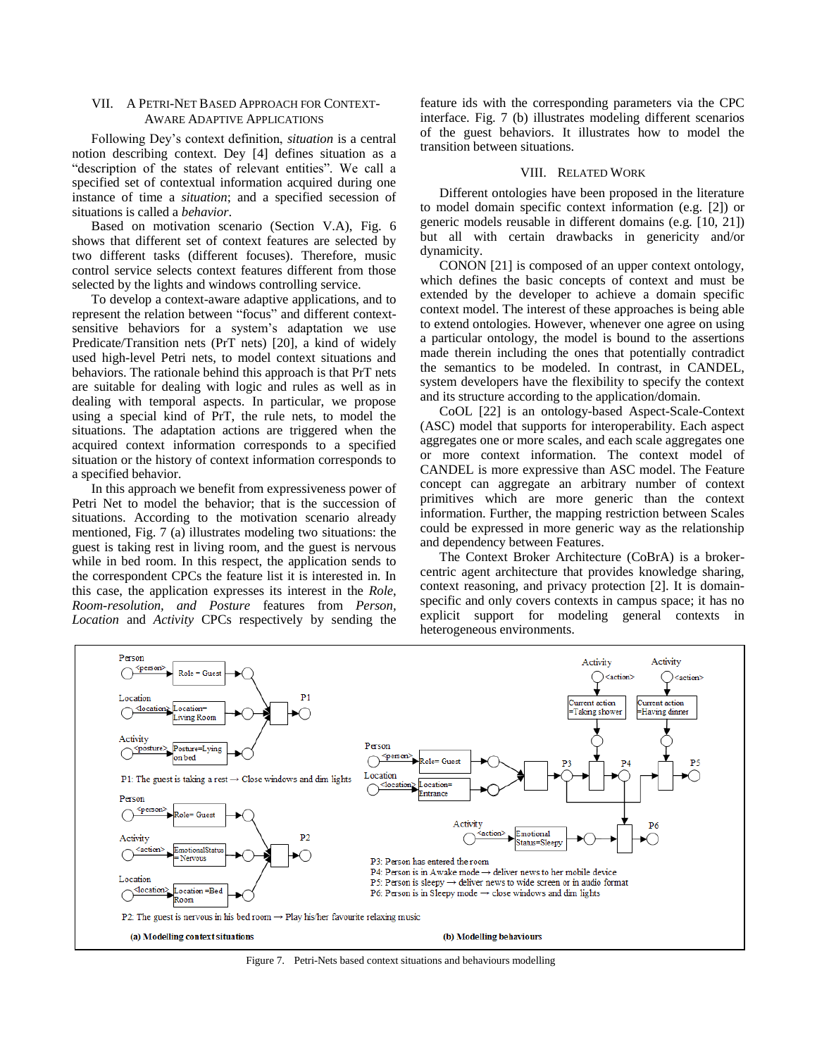## VII. A PETRI-NET BASED APPROACH FOR CONTEXT-AWARE ADAPTIVE APPLICATIONS

Following Dey's context definition, *situation* is a central notion describing context. Dey [4] defines situation as a "description of the states of relevant entities". We call a specified set of contextual information acquired during one instance of time a *situation*; and a specified secession of situations is called a *behavior*.

Based on motivation scenario (Section V.A), Fig. 6 shows that different set of context features are selected by two different tasks (different focuses). Therefore, music control service selects context features different from those selected by the lights and windows controlling service.

To develop a context-aware adaptive applications, and to represent the relation between "focus" and different contextsensitive behaviors for a system's adaptation we use Predicate/Transition nets (PrT nets) [20], a kind of widely used high-level Petri nets, to model context situations and behaviors. The rationale behind this approach is that PrT nets are suitable for dealing with logic and rules as well as in dealing with temporal aspects. In particular, we propose using a special kind of PrT, the rule nets, to model the situations. The adaptation actions are triggered when the acquired context information corresponds to a specified situation or the history of context information corresponds to a specified behavior.

In this approach we benefit from expressiveness power of Petri Net to model the behavior; that is the succession of situations. According to the motivation scenario already mentioned, Fig. 7 (a) illustrates modeling two situations: the guest is taking rest in living room, and the guest is nervous while in bed room. In this respect, the application sends to the correspondent CPCs the feature list it is interested in. In this case, the application expresses its interest in the *Role*, *Room-resolution, and Posture* features from *Person, Location* and *Activity* CPCs respectively by sending the

feature ids with the corresponding parameters via the CPC interface. Fig. 7 (b) illustrates modeling different scenarios of the guest behaviors. It illustrates how to model the transition between situations.

#### VIII. RELATED WORK

Different ontologies have been proposed in the literature to model domain specific context information (e.g. [2]) or generic models reusable in different domains (e.g. [10, 21]) but all with certain drawbacks in genericity and/or dynamicity.

CONON [21] is composed of an upper context ontology, which defines the basic concepts of context and must be extended by the developer to achieve a domain specific context model. The interest of these approaches is being able to extend ontologies. However, whenever one agree on using a particular ontology, the model is bound to the assertions made therein including the ones that potentially contradict the semantics to be modeled. In contrast, in CANDEL, system developers have the flexibility to specify the context and its structure according to the application/domain.

CoOL [22] is an ontology-based Aspect-Scale-Context (ASC) model that supports for interoperability. Each aspect aggregates one or more scales, and each scale aggregates one or more context information. The context model of CANDEL is more expressive than ASC model. The Feature concept can aggregate an arbitrary number of context primitives which are more generic than the context information. Further, the mapping restriction between Scales could be expressed in more generic way as the relationship and dependency between Features.

The Context Broker Architecture (CoBrA) is a brokercentric agent architecture that provides knowledge sharing, context reasoning, and privacy protection [2]. It is domainspecific and only covers contexts in campus space; it has no explicit support for modeling general contexts in heterogeneous environments.



Figure 7. Petri-Nets based context situations and behaviours modelling